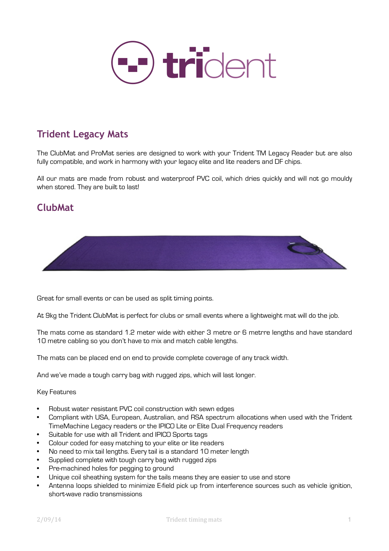

## **Trident Legacy Mats**

The ClubMat and ProMat series are designed to work with your Trident TM Legacy Reader but are also fully compatible, and work in harmony with your legacy elite and lite readers and DF chips.

All our mats are made from robust and waterproof PVC coil, which dries quickly and will not go mouldy when stored. They are built to last!

### **ClubMat**



Great for small events or can be used as split timing points.

At 9kg the Trident ClubMat is perfect for clubs or small events where a lightweight mat will do the job.

The mats come as standard 1.2 meter wide with either 3 metre or 6 metrre lengths and have standard 10 metre cabling so you don't have to mix and match cable lengths.

The mats can be placed end on end to provide complete coverage of any track width.

And we've made a tough carry bag with rugged zips, which will last longer.

#### Key Features

- Robust water resistant PVC coil construction with sewn edges
- Compliant with USA, European, Australian, and RSA spectrum allocations when used with the Trident TimeMachine Legacy readers or the IPICO Lite or Elite Dual Frequency readers
- Suitable for use with all Trident and IPICO Sports tags
- Colour coded for easy matching to your elite or lite readers
- No need to mix tail lengths. Every tail is a standard 10 meter length
- Supplied complete with tough carry bag with rugged zips
- Pre-machined holes for pegging to ground
- Unique coil sheathing system for the tails means they are easier to use and store
- Antenna loops shielded to minimize E-field pick up from interference sources such as vehicle ignition, short-wave radio transmissions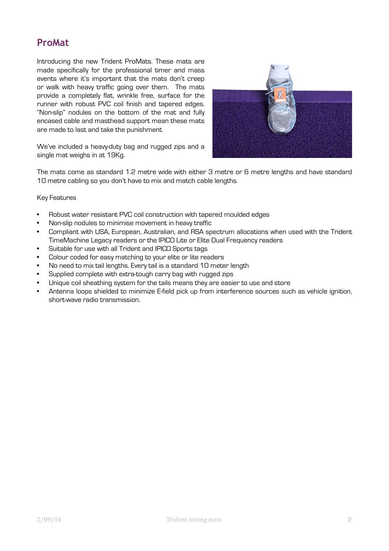### **ProMat**

Introducing the new Trident ProMats. These mats are made specifically for the professional timer and mass events where it's important that the mats don't creep or walk with heavy traffic going over them. The mats provide a completely flat, wrinkle free, surface for the runner with robust PVC coil finish and tapered edges. "Non-slip" nodules on the bottom of the mat and fully encased cable and masthead support mean these mats are made to last and take the punishment.



We've included a heavy-duty bag and rugged zips and a single mat weighs in at 19Kg.

The mats come as standard 1.2 metre wide with either 3 metre or 6 metre lengths and have standard 10 metre cabling so you don't have to mix and match cable lengths.

#### Key Features

- Robust water resistant PVC coil construction with tapered moulded edges
- Non-slip nodules to minimise movement in heavy traffic
- Compliant with USA, European, Australian, and RSA spectrum allocations when used with the Trident TimeMachine Legacy readers or the IPICO Lite or Elite Dual Frequency readers
- Suitable for use with all Trident and IPICO Sports tags
- Colour coded for easy matching to your elite or lite readers
- No need to mix tail lengths. Every tail is a standard 10 meter length
- Supplied complete with extra-tough carry bag with rugged zips
- Unique coil sheathing system for the tails means they are easier to use and store
- Antenna loops shielded to minimize E-field pick up from interference sources such as vehicle ignition, short-wave radio transmission.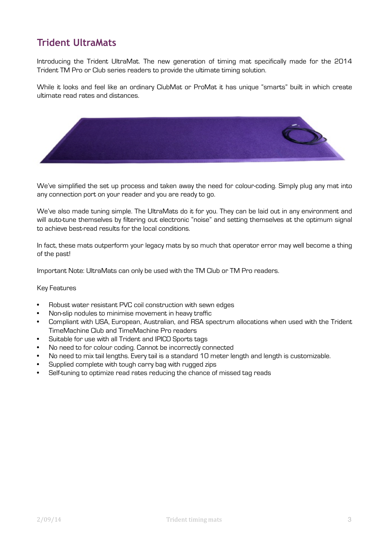# **Trident UltraMats**

Introducing the Trident UltraMat. The new generation of timing mat specifically made for the 2014 Trident TM Pro or Club series readers to provide the ultimate timing solution.

While it looks and feel like an ordinary ClubMat or ProMat it has unique "smarts" built in which create ultimate read rates and distances.



We've simplified the set up process and taken away the need for colour-coding. Simply plug any mat into any connection port on your reader and you are ready to go.

We've also made tuning simple. The UltraMats do it for you. They can be laid out in any environment and will auto-tune themselves by filtering out electronic "noise" and setting themselves at the optimum signal to achieve best-read results for the local conditions.

In fact, these mats outperform your legacy mats by so much that operator error may well become a thing of the past!

Important Note: UltraMats can only be used with the TM Club or TM Pro readers.

#### Key Features

- Robust water resistant PVC coil construction with sewn edges
- Non-slip nodules to minimise movement in heavy traffic
- Compliant with USA, European, Australian, and RSA spectrum allocations when used with the Trident TimeMachine Club and TimeMachine Pro readers
- Suitable for use with all Trident and IPICO Sports tags
- No need to for colour coding. Cannot be incorrectly connected
- No need to mix tail lengths. Every tail is a standard 10 meter length and length is customizable.
- Supplied complete with tough carry bag with rugged zips
- Self-tuning to optimize read rates reducing the chance of missed tag reads